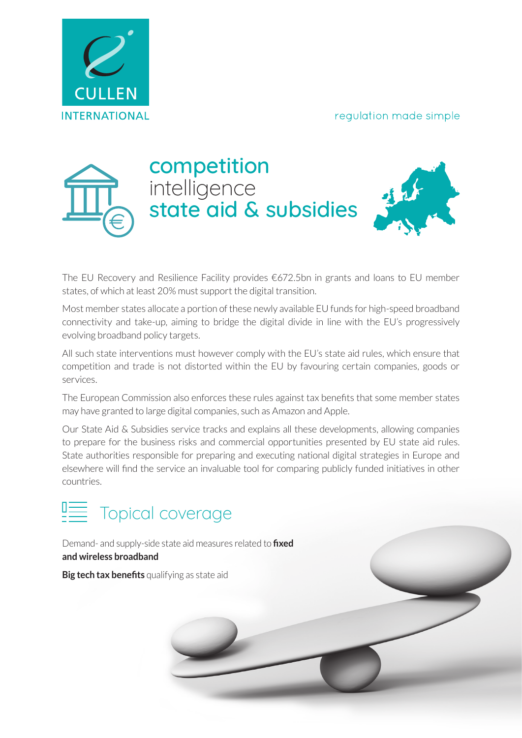#### regulation made simple





The EU Recovery and Resilience Facility provides  $€672.5$ bn in grants and loans to EU member states, of which at least 20% must support the digital transition.

Most member states allocate a portion of these newly available EU funds for high-speed broadband connectivity and take-up, aiming to bridge the digital divide in line with the EU's progressively evolving broadband policy targets.

All such state interventions must however comply with the EU's state aid rules, which ensure that competition and trade is not distorted within the EU by favouring certain companies, goods or services.

The European Commission also enforces these rules against tax benefits that some member states may have granted to large digital companies, such as Amazon and Apple.

Our State Aid & Subsidies service tracks and explains all these developments, allowing companies to prepare for the business risks and commercial opportunities presented by EU state aid rules. State authorities responsible for preparing and executing national digital strategies in Europe and elsewhere will find the service an invaluable tool for comparing publicly funded initiatives in other countries.



Demand- and supply-side state aid measures related to **fixed and wireless broadband**

**Big tech tax benefits** qualifying as state aid